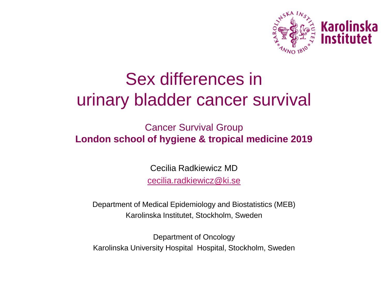

# Sex differences in urinary bladder cancer survival

Cancer Survival Group **London school of hygiene & tropical medicine 2019**

> Cecilia Radkiewicz MD [cecilia.radkiewicz@ki.se](mailto:cecilia.radkiewicz@ki.se)

Department of Medical Epidemiology and Biostatistics (MEB) Karolinska Institutet, Stockholm, Sweden

Department of Oncology Karolinska University Hospital Hospital, Stockholm, Sweden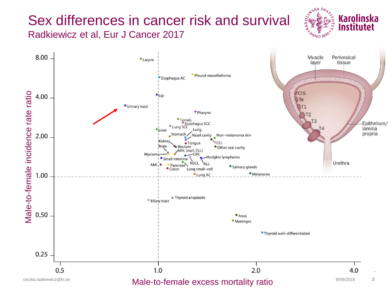# Sex differences in cancer risk and survival Radkiewicz et al, Eur J Cancer 2017



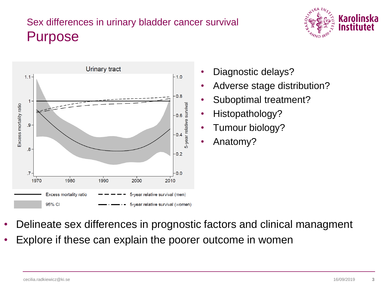# Sex differences in urinary bladder cancer survival Purpose





- Diagnostic delays?
- Adverse stage distribution?
- Suboptimal treatment?
- Histopathology?
- Tumour biology?
- Anatomy?

- Delineate sex differences in prognostic factors and clinical managment
- Explore if these can explain the poorer outcome in women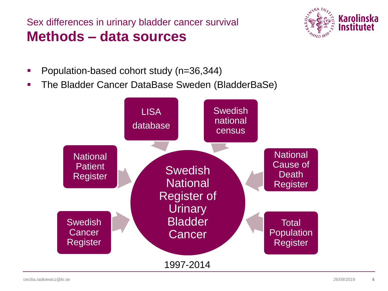Sex differences in urinary bladder cancer survival **Methods – data sources**



- **Population-based cohort study (n=36,344)**
- **The Bladder Cancer DataBase Sweden (BladderBaSe)**

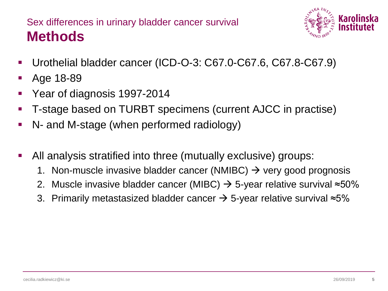# Sex differences in urinary bladder cancer survival **Methods**



- Urothelial bladder cancer (ICD-O-3: C67.0-C67.6, C67.8-C67.9)
- Age 18-89
- **Year of diagnosis 1997-2014**
- T-stage based on TURBT specimens (current AJCC in practise)
- N- and M-stage (when performed radiology)
- All analysis stratified into three (mutually exclusive) groups:
	- 1. Non-muscle invasive bladder cancer (NMIBC)  $\rightarrow$  very good prognosis
	- 2. Muscle invasive bladder cancer (MIBC)  $\rightarrow$  5-year relative survival ≈50%
	- 3. Primarily metastasized bladder cancer  $\rightarrow$  5-year relative survival ≈5%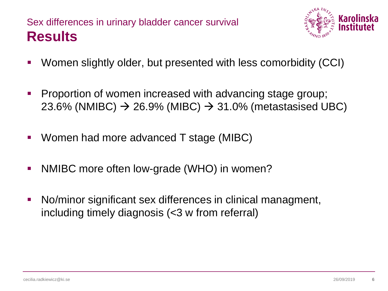### Sex differences in urinary bladder cancer survival **Results**



- Women slightly older, but presented with less comorbidity (CCI)
- **Proportion of women increased with advancing stage group;** 23.6% (NMIBC)  $\rightarrow$  26.9% (MIBC)  $\rightarrow$  31.0% (metastasised UBC)
- Women had more advanced T stage (MIBC)
- NMIBC more often low-grade (WHO) in women?
- No/minor significant sex differences in clinical managment, including timely diagnosis (<3 w from referral)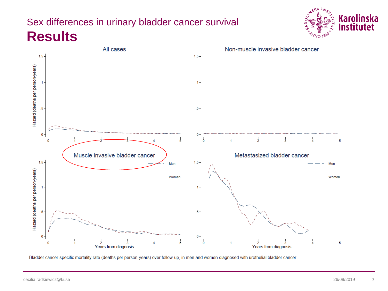# Sex differences in urinary bladder cancer survival **Results**





Bladder cancer-specific mortality rate (deaths per person-years) over follow-up, in men and women diagnosed with urothelial bladder cancer.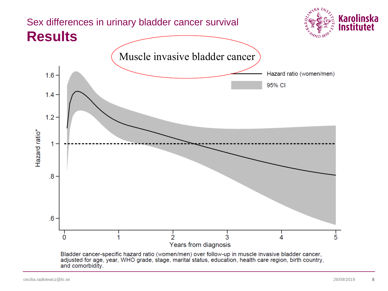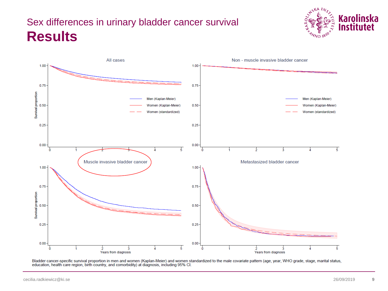# Sex differences in urinary bladder cancer survival **Results**





Bladder cancer-specific survival proportion in men and women (Kaplan-Meier) and women standardized to the male covariate pattern (age, year, WHO grade, stage, marital status, education, health care region, birth country, and comorbidity) at diagnosis, including 95% Cl.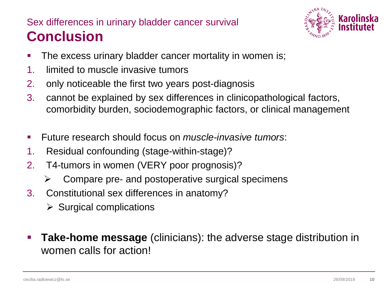# Sex differences in urinary bladder cancer survival **Conclusion**



- **The excess urinary bladder cancer mortality in women is;**
- 1. limited to muscle invasive tumors
- 2. only noticeable the first two years post-diagnosis
- 3. cannot be explained by sex differences in clinicopathological factors, comorbidity burden, sociodemographic factors, or clinical management
- Future research should focus on *muscle-invasive tumors*:
- 1. Residual confounding (stage-within-stage)?
- 2. T4-tumors in women (VERY poor prognosis)?
	- $\triangleright$  Compare pre- and postoperative surgical specimens
- 3. Constitutional sex differences in anatomy?
	- $\triangleright$  Surgical complications
- **Take-home message** (clinicians): the adverse stage distribution in women calls for action!